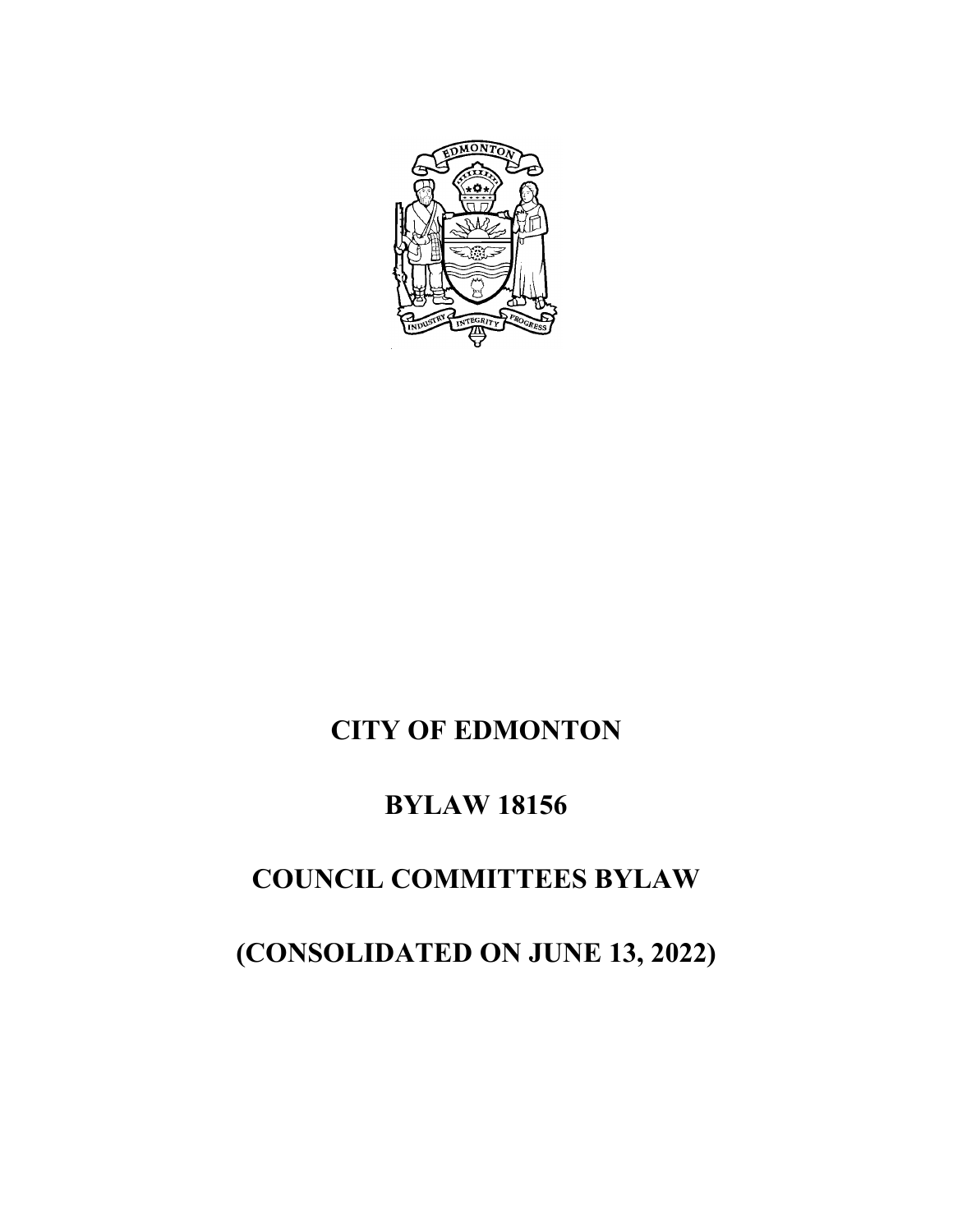

# **CITY OF EDMONTON**

### **BYLAW 18156**

## **COUNCIL COMMITTEES BYLAW**

# **(CONSOLIDATED ON JUNE 13, 2022)**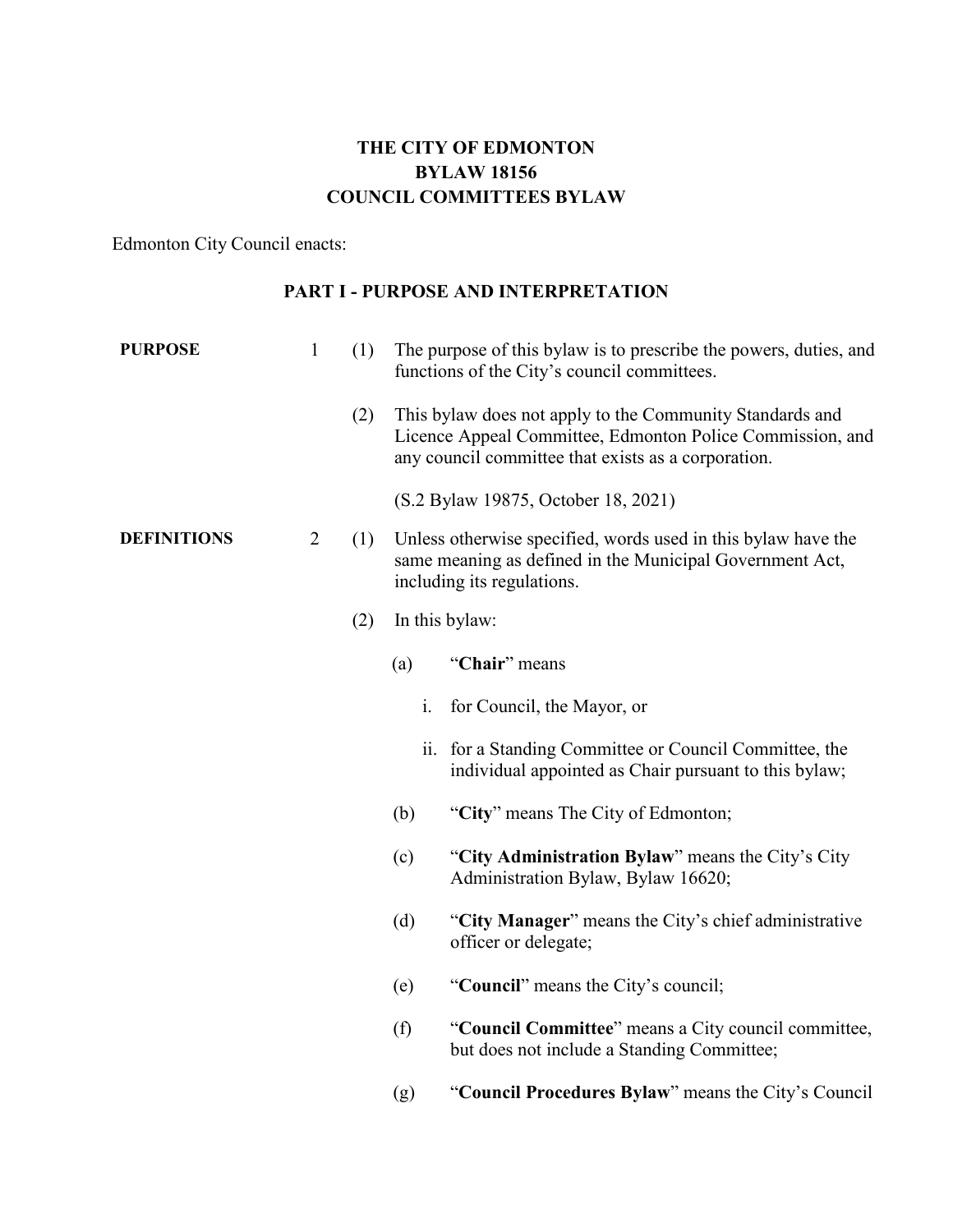#### **THE CITY OF EDMONTON BYLAW 18156 COUNCIL COMMITTEES BYLAW**

Edmonton City Council enacts:

#### **PART I - PURPOSE AND INTERPRETATION**

| <b>PURPOSE</b>     | $\mathbf{1}$   | (1) |     | The purpose of this bylaw is to prescribe the powers, duties, and<br>functions of the City's council committees.                                                             |
|--------------------|----------------|-----|-----|------------------------------------------------------------------------------------------------------------------------------------------------------------------------------|
|                    |                | (2) |     | This bylaw does not apply to the Community Standards and<br>Licence Appeal Committee, Edmonton Police Commission, and<br>any council committee that exists as a corporation. |
|                    |                |     |     | (S.2 Bylaw 19875, October 18, 2021)                                                                                                                                          |
| <b>DEFINITIONS</b> | $\overline{2}$ | (1) |     | Unless otherwise specified, words used in this bylaw have the<br>same meaning as defined in the Municipal Government Act,<br>including its regulations.                      |
|                    |                | (2) |     | In this bylaw:                                                                                                                                                               |
|                    |                |     | (a) | "Chair" means                                                                                                                                                                |
|                    |                |     | i.  | for Council, the Mayor, or                                                                                                                                                   |
|                    |                |     |     | ii. for a Standing Committee or Council Committee, the<br>individual appointed as Chair pursuant to this bylaw;                                                              |
|                    |                |     | (b) | "City" means The City of Edmonton;                                                                                                                                           |
|                    |                |     | (c) | "City Administration Bylaw" means the City's City<br>Administration Bylaw, Bylaw 16620;                                                                                      |
|                    |                |     | (d) | "City Manager" means the City's chief administrative<br>officer or delegate;                                                                                                 |
|                    |                |     | (e) | "Council" means the City's council;                                                                                                                                          |
|                    |                |     | (f) | "Council Committee" means a City council committee,<br>but does not include a Standing Committee;                                                                            |
|                    |                |     | (g) | "Council Procedures Bylaw" means the City's Council                                                                                                                          |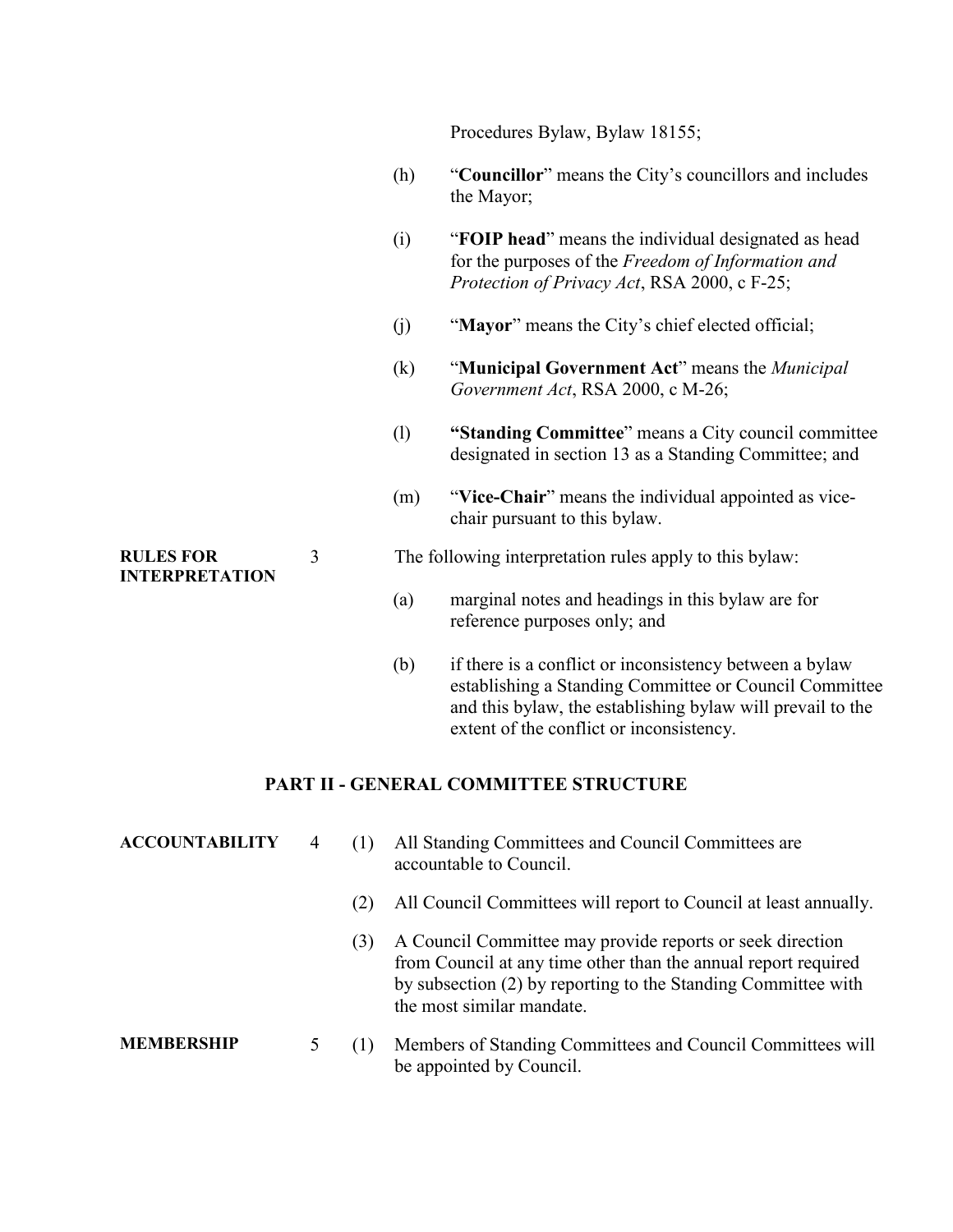Procedures Bylaw, Bylaw 18155;

- (h) "**Councillor**" means the City's councillors and includes the Mayor;
- (i) "**FOIP head**" means the individual designated as head for the purposes of the *Freedom of Information and Protection of Privacy Act*, RSA 2000, c F-25;
- (j) "**Mayor**" means the City's chief elected official;
- (k) "**Municipal Government Act**" means the *Municipal Government Act*, RSA 2000, c M-26;
- (l) **"Standing Committee**" means a City council committee designated in section 13 as a Standing Committee; and
- (m) "**Vice-Chair**" means the individual appointed as vicechair pursuant to this bylaw.

#### 3 The following interpretation rules apply to this bylaw:

- (a) marginal notes and headings in this bylaw are for reference purposes only; and
- (b) if there is a conflict or inconsistency between a bylaw establishing a Standing Committee or Council Committee and this bylaw, the establishing bylaw will prevail to the extent of the conflict or inconsistency.

#### **PART II - GENERAL COMMITTEE STRUCTURE**

| <b>ACCOUNTABILITY</b> | 4 |     | All Standing Committees and Council Committees are<br>accountable to Council.                                                                                                                                             |
|-----------------------|---|-----|---------------------------------------------------------------------------------------------------------------------------------------------------------------------------------------------------------------------------|
|                       |   | (2) | All Council Committees will report to Council at least annually.                                                                                                                                                          |
|                       |   | (3) | A Council Committee may provide reports or seek direction<br>from Council at any time other than the annual report required<br>by subsection (2) by reporting to the Standing Committee with<br>the most similar mandate. |
| <b>MEMBERSHIP</b>     |   | (1) | Members of Standing Committees and Council Committees will<br>be appointed by Council.                                                                                                                                    |

#### **RULES FOR INTERPRETATION**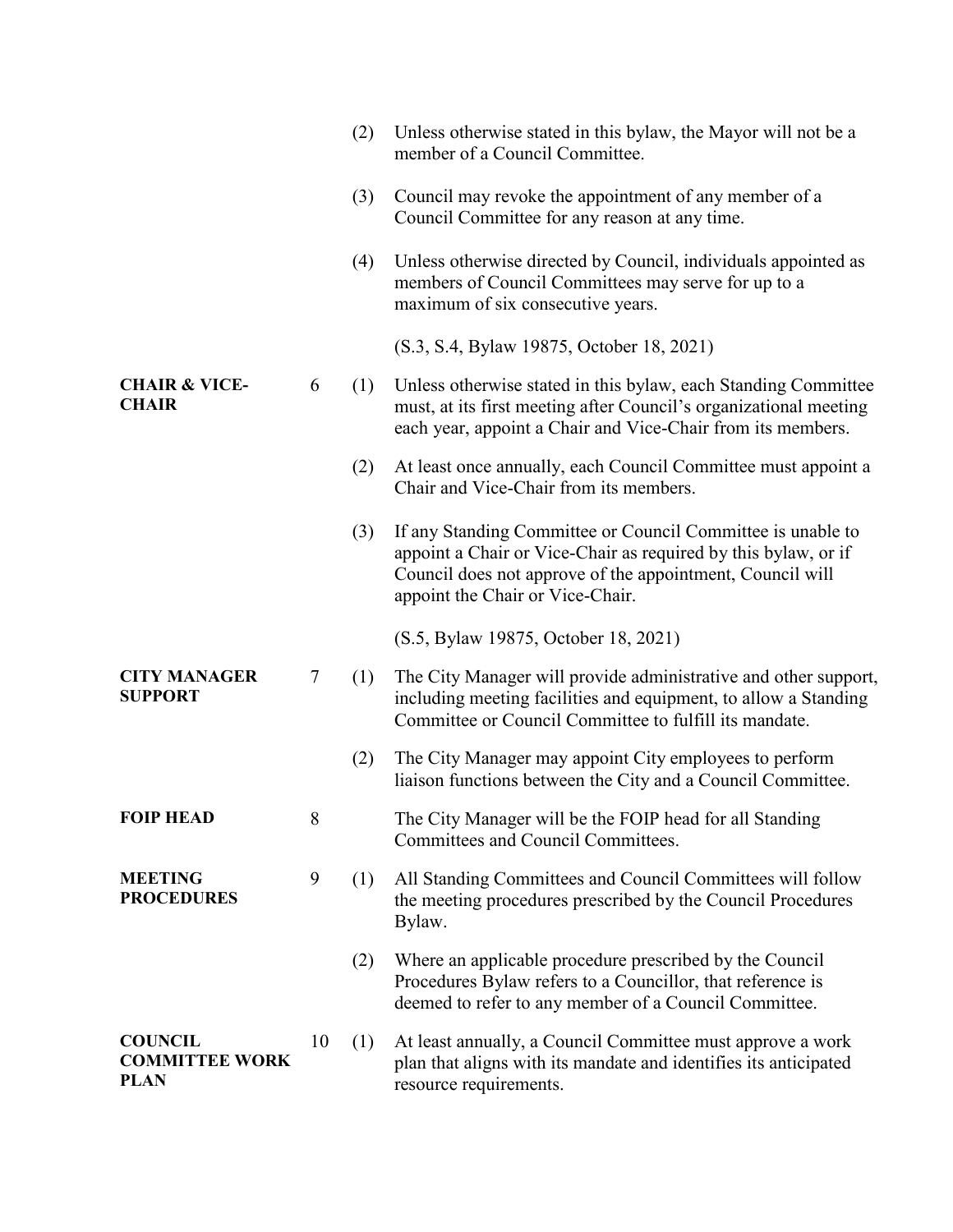|                                                        |                  | (2) | Unless otherwise stated in this bylaw, the Mayor will not be a<br>member of a Council Committee.                                                                                                                               |
|--------------------------------------------------------|------------------|-----|--------------------------------------------------------------------------------------------------------------------------------------------------------------------------------------------------------------------------------|
|                                                        |                  | (3) | Council may revoke the appointment of any member of a<br>Council Committee for any reason at any time.                                                                                                                         |
|                                                        |                  | (4) | Unless otherwise directed by Council, individuals appointed as<br>members of Council Committees may serve for up to a<br>maximum of six consecutive years.                                                                     |
|                                                        |                  |     | (S.3, S.4, Bylaw 19875, October 18, 2021)                                                                                                                                                                                      |
| <b>CHAIR &amp; VICE-</b><br><b>CHAIR</b>               | 6                | (1) | Unless otherwise stated in this bylaw, each Standing Committee<br>must, at its first meeting after Council's organizational meeting<br>each year, appoint a Chair and Vice-Chair from its members.                             |
|                                                        |                  | (2) | At least once annually, each Council Committee must appoint a<br>Chair and Vice-Chair from its members.                                                                                                                        |
|                                                        |                  | (3) | If any Standing Committee or Council Committee is unable to<br>appoint a Chair or Vice-Chair as required by this bylaw, or if<br>Council does not approve of the appointment, Council will<br>appoint the Chair or Vice-Chair. |
|                                                        |                  |     | (S.5, Bylaw 19875, October 18, 2021)                                                                                                                                                                                           |
| <b>CITY MANAGER</b><br><b>SUPPORT</b>                  | $\boldsymbol{7}$ | (1) | The City Manager will provide administrative and other support,<br>including meeting facilities and equipment, to allow a Standing<br>Committee or Council Committee to fulfill its mandate.                                   |
|                                                        |                  | (2) | The City Manager may appoint City employees to perform<br>liaison functions between the City and a Council Committee.                                                                                                          |
| <b>FOIP HEAD</b>                                       | 8                |     | The City Manager will be the FOIP head for all Standing<br>Committees and Council Committees.                                                                                                                                  |
| <b>MEETING</b><br><b>PROCEDURES</b>                    | 9                | (1) | All Standing Committees and Council Committees will follow<br>the meeting procedures prescribed by the Council Procedures<br>Bylaw.                                                                                            |
|                                                        |                  | (2) | Where an applicable procedure prescribed by the Council<br>Procedures Bylaw refers to a Councillor, that reference is<br>deemed to refer to any member of a Council Committee.                                                 |
| <b>COUNCIL</b><br><b>COMMITTEE WORK</b><br><b>PLAN</b> | 10               | (1) | At least annually, a Council Committee must approve a work<br>plan that aligns with its mandate and identifies its anticipated<br>resource requirements.                                                                       |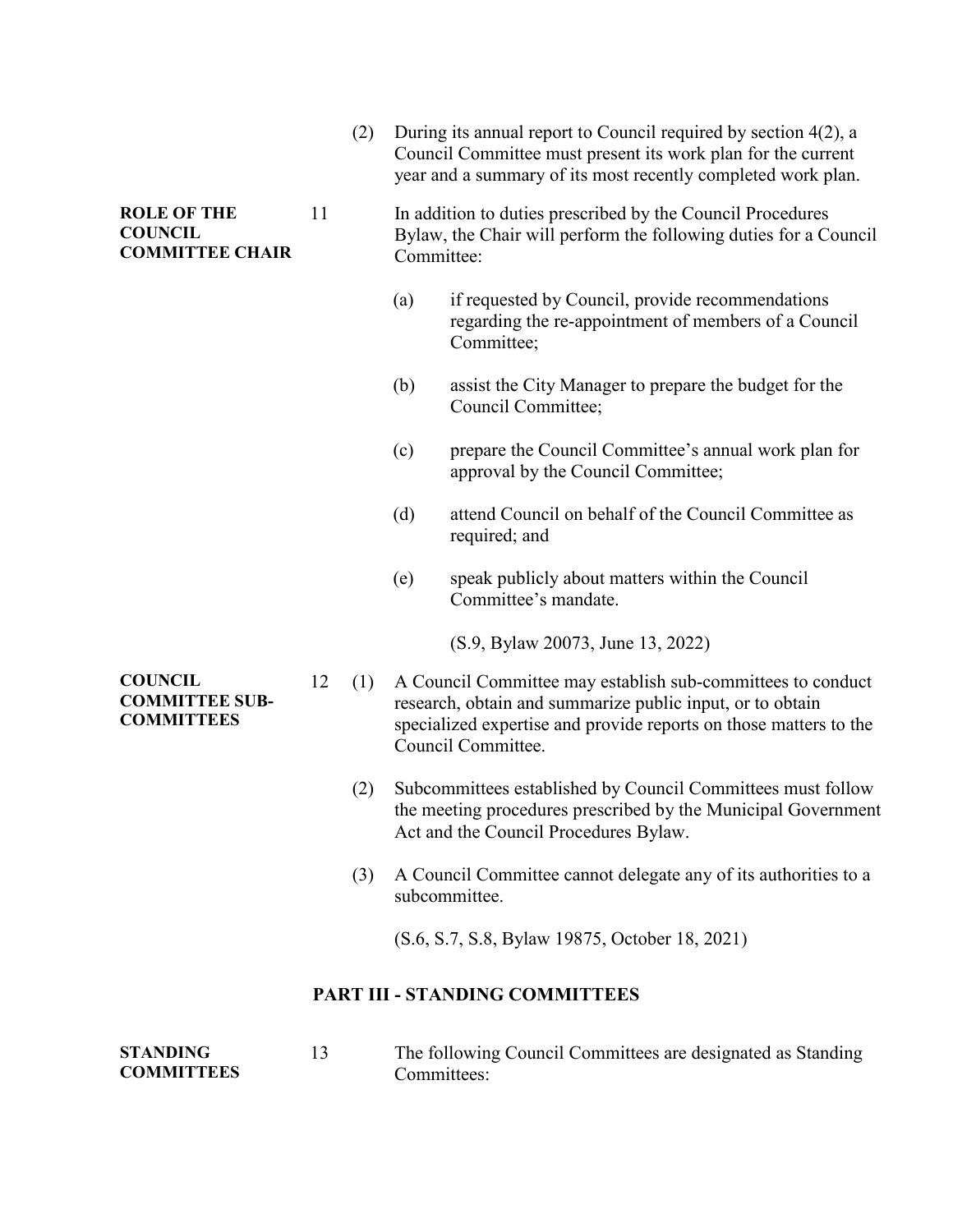|                                                                |    | (2) | During its annual report to Council required by section $4(2)$ , a<br>Council Committee must present its work plan for the current<br>year and a summary of its most recently completed work plan. |                                                                                                                                                                                                                     |  |
|----------------------------------------------------------------|----|-----|----------------------------------------------------------------------------------------------------------------------------------------------------------------------------------------------------|---------------------------------------------------------------------------------------------------------------------------------------------------------------------------------------------------------------------|--|
| <b>ROLE OF THE</b><br><b>COUNCIL</b><br><b>COMMITTEE CHAIR</b> | 11 |     | Committee:                                                                                                                                                                                         | In addition to duties prescribed by the Council Procedures<br>Bylaw, the Chair will perform the following duties for a Council                                                                                      |  |
|                                                                |    |     | (a)                                                                                                                                                                                                | if requested by Council, provide recommendations<br>regarding the re-appointment of members of a Council<br>Committee;                                                                                              |  |
|                                                                |    |     | (b)                                                                                                                                                                                                | assist the City Manager to prepare the budget for the<br>Council Committee;                                                                                                                                         |  |
|                                                                |    |     | (c)                                                                                                                                                                                                | prepare the Council Committee's annual work plan for<br>approval by the Council Committee;                                                                                                                          |  |
|                                                                |    |     | (d)                                                                                                                                                                                                | attend Council on behalf of the Council Committee as<br>required; and                                                                                                                                               |  |
|                                                                |    |     | (e)                                                                                                                                                                                                | speak publicly about matters within the Council<br>Committee's mandate.                                                                                                                                             |  |
|                                                                |    |     |                                                                                                                                                                                                    | (S.9, Bylaw 20073, June 13, 2022)                                                                                                                                                                                   |  |
| <b>COUNCIL</b><br><b>COMMITTEE SUB-</b><br><b>COMMITTEES</b>   | 12 | (1) |                                                                                                                                                                                                    | A Council Committee may establish sub-committees to conduct<br>research, obtain and summarize public input, or to obtain<br>specialized expertise and provide reports on those matters to the<br>Council Committee. |  |
|                                                                |    | (2) |                                                                                                                                                                                                    | Subcommittees established by Council Committees must follow<br>the meeting procedures prescribed by the Municipal Government<br>Act and the Council Procedures Bylaw.                                               |  |
|                                                                |    | (3) |                                                                                                                                                                                                    | A Council Committee cannot delegate any of its authorities to a<br>subcommittee.                                                                                                                                    |  |
|                                                                |    |     |                                                                                                                                                                                                    | (S.6, S.7, S.8, Bylaw 19875, October 18, 2021)                                                                                                                                                                      |  |

#### **PART III - STANDING COMMITTEES**

| <b>STANDING</b>   | The following Council Committees are designated as Standing |
|-------------------|-------------------------------------------------------------|
| <b>COMMITTEES</b> | Committees:                                                 |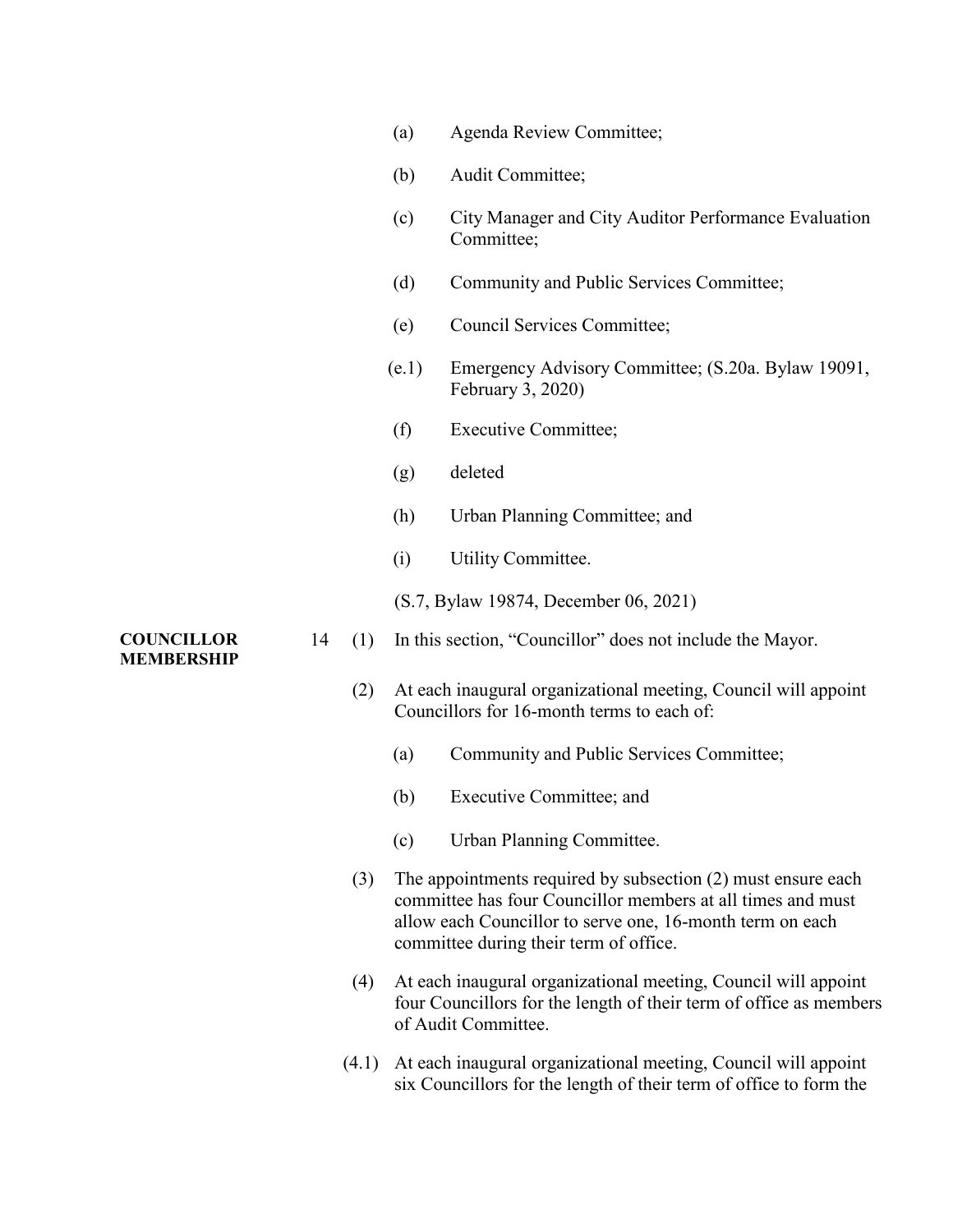| (a)<br>Agenda Review Committee; |  |
|---------------------------------|--|
|---------------------------------|--|

- (b) Audit Committee;
- (c) City Manager and City Auditor Performance Evaluation Committee;
- (d) Community and Public Services Committee;
- (e) Council Services Committee;
- (e.1) Emergency Advisory Committee; (S.20a. Bylaw 19091, February 3, 2020)
- (f) Executive Committee;
- (g) deleted
- (h) Urban Planning Committee; and
- (i) Utility Committee.
- (S.7, Bylaw 19874, December 06, 2021)
- 14 (1) In this section, "Councillor" does not include the Mayor.
	- (2) At each inaugural organizational meeting, Council will appoint Councillors for 16-month terms to each of:
		- (a) Community and Public Services Committee;
		- (b) Executive Committee; and
		- (c) Urban Planning Committee.
	- (3) The appointments required by subsection (2) must ensure each committee has four Councillor members at all times and must allow each Councillor to serve one, 16-month term on each committee during their term of office.
	- (4) At each inaugural organizational meeting, Council will appoint four Councillors for the length of their term of office as members of Audit Committee.
	- (4.1) At each inaugural organizational meeting, Council will appoint six Councillors for the length of their term of office to form the

**COUNCILLOR MEMBERSHIP**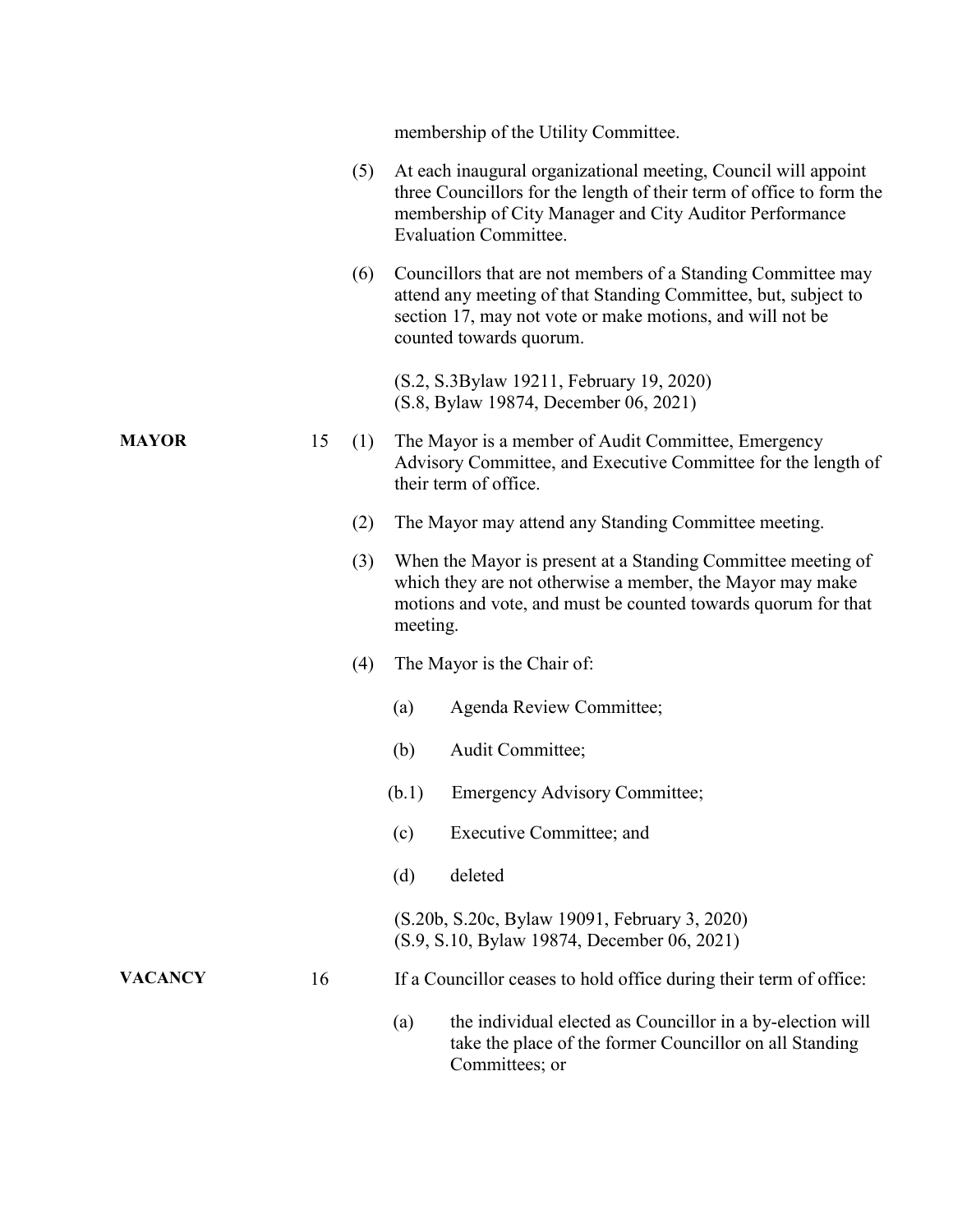|                |    |     |          | membership of the Utility Committee.                                                                                                                                                                                              |
|----------------|----|-----|----------|-----------------------------------------------------------------------------------------------------------------------------------------------------------------------------------------------------------------------------------|
|                |    |     |          |                                                                                                                                                                                                                                   |
|                |    | (5) |          | At each inaugural organizational meeting, Council will appoint<br>three Councillors for the length of their term of office to form the<br>membership of City Manager and City Auditor Performance<br><b>Evaluation Committee.</b> |
|                |    | (6) |          | Councillors that are not members of a Standing Committee may<br>attend any meeting of that Standing Committee, but, subject to<br>section 17, may not vote or make motions, and will not be<br>counted towards quorum.            |
|                |    |     |          | (S.2, S.3Bylaw 19211, February 19, 2020)<br>(S.8, Bylaw 19874, December 06, 2021)                                                                                                                                                 |
| <b>MAYOR</b>   | 15 | (1) |          | The Mayor is a member of Audit Committee, Emergency<br>Advisory Committee, and Executive Committee for the length of<br>their term of office.                                                                                     |
|                |    | (2) |          | The Mayor may attend any Standing Committee meeting.                                                                                                                                                                              |
|                |    | (3) | meeting. | When the Mayor is present at a Standing Committee meeting of<br>which they are not otherwise a member, the Mayor may make<br>motions and vote, and must be counted towards quorum for that                                        |
|                |    | (4) |          | The Mayor is the Chair of:                                                                                                                                                                                                        |
|                |    |     | (a)      | Agenda Review Committee;                                                                                                                                                                                                          |
|                |    |     | (b)      | Audit Committee;                                                                                                                                                                                                                  |
|                |    |     | (b.1)    | <b>Emergency Advisory Committee;</b>                                                                                                                                                                                              |
|                |    |     | (c)      | Executive Committee; and                                                                                                                                                                                                          |
|                |    |     | (d)      | deleted                                                                                                                                                                                                                           |
|                |    |     |          | (S.20b, S.20c, Bylaw 19091, February 3, 2020)<br>(S.9, S.10, Bylaw 19874, December 06, 2021)                                                                                                                                      |
| <b>VACANCY</b> | 16 |     |          | If a Councillor ceases to hold office during their term of office:                                                                                                                                                                |
|                |    |     | (a)      | the individual elected as Councillor in a by-election will<br>take the place of the former Councillor on all Standing<br>Committees; or                                                                                           |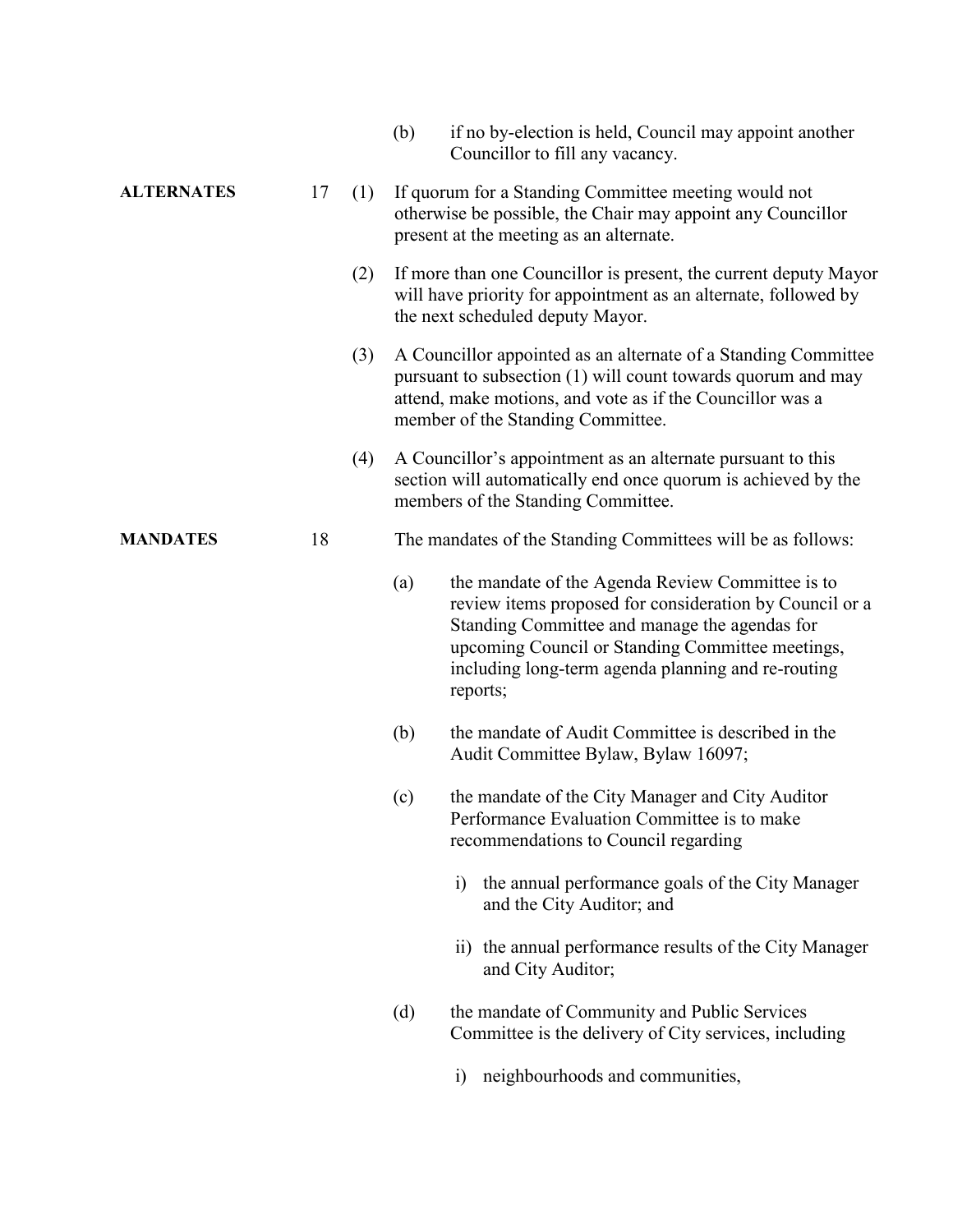|                   |           |     | (b) | if no by-election is held, Council may appoint another<br>Councillor to fill any vacancy.                                                                                                                                                                                          |
|-------------------|-----------|-----|-----|------------------------------------------------------------------------------------------------------------------------------------------------------------------------------------------------------------------------------------------------------------------------------------|
| <b>ALTERNATES</b> | 17<br>(1) |     |     | If quorum for a Standing Committee meeting would not<br>otherwise be possible, the Chair may appoint any Councillor<br>present at the meeting as an alternate.                                                                                                                     |
|                   |           | (2) |     | If more than one Councillor is present, the current deputy Mayor<br>will have priority for appointment as an alternate, followed by<br>the next scheduled deputy Mayor.                                                                                                            |
|                   |           | (3) |     | A Councillor appointed as an alternate of a Standing Committee<br>pursuant to subsection (1) will count towards quorum and may<br>attend, make motions, and vote as if the Councillor was a<br>member of the Standing Committee.                                                   |
|                   |           | (4) |     | A Councillor's appointment as an alternate pursuant to this<br>section will automatically end once quorum is achieved by the<br>members of the Standing Committee.                                                                                                                 |
| <b>MANDATES</b>   | 18        |     |     | The mandates of the Standing Committees will be as follows:                                                                                                                                                                                                                        |
|                   |           |     | (a) | the mandate of the Agenda Review Committee is to<br>review items proposed for consideration by Council or a<br>Standing Committee and manage the agendas for<br>upcoming Council or Standing Committee meetings,<br>including long-term agenda planning and re-routing<br>reports; |
|                   |           |     | (b) | the mandate of Audit Committee is described in the<br>Audit Committee Bylaw, Bylaw 16097;                                                                                                                                                                                          |
|                   |           |     | (c) | the mandate of the City Manager and City Auditor<br>Performance Evaluation Committee is to make<br>recommendations to Council regarding                                                                                                                                            |
|                   |           |     |     | the annual performance goals of the City Manager<br>i)<br>and the City Auditor; and                                                                                                                                                                                                |
|                   |           |     |     | ii) the annual performance results of the City Manager<br>and City Auditor;                                                                                                                                                                                                        |
|                   |           |     | (d) | the mandate of Community and Public Services<br>Committee is the delivery of City services, including                                                                                                                                                                              |
|                   |           |     |     | neighbourhoods and communities,<br>$\left( i\right)$                                                                                                                                                                                                                               |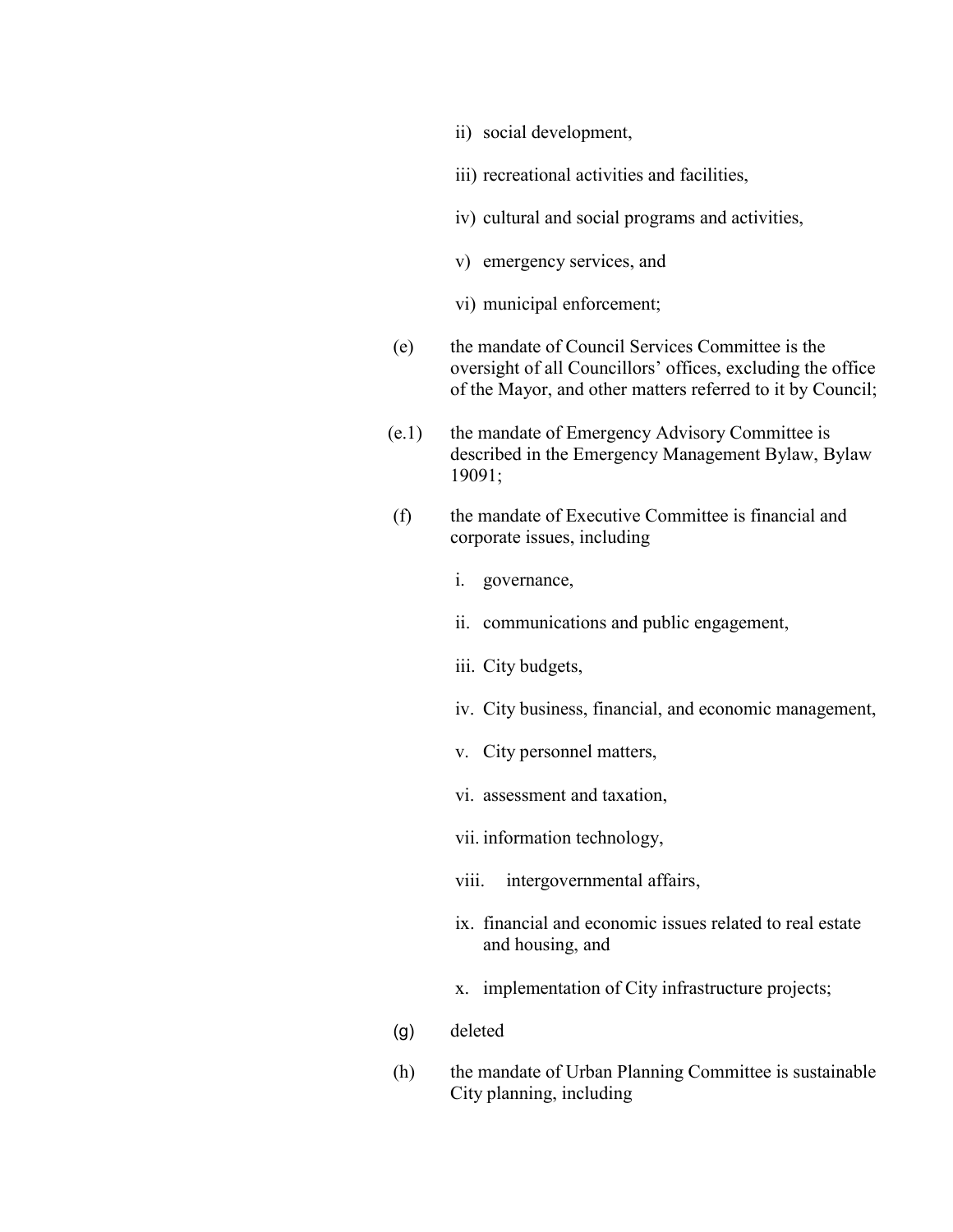- ii) social development,
- iii) recreational activities and facilities,
- iv) cultural and social programs and activities,
- v) emergency services, and
- vi) municipal enforcement;
- (e) the mandate of Council Services Committee is the oversight of all Councillors' offices, excluding the office of the Mayor, and other matters referred to it by Council;
- (e.1) the mandate of Emergency Advisory Committee is described in the Emergency Management Bylaw, Bylaw 19091;
- (f) the mandate of Executive Committee is financial and corporate issues, including
	- i. governance,
	- ii. communications and public engagement,
	- iii. City budgets,
	- iv. City business, financial, and economic management,
	- v. City personnel matters,
	- vi. assessment and taxation,
	- vii. information technology,
	- viii. intergovernmental affairs,
	- ix. financial and economic issues related to real estate and housing, and
	- x. implementation of City infrastructure projects;
- (g) deleted
- (h) the mandate of Urban Planning Committee is sustainable City planning, including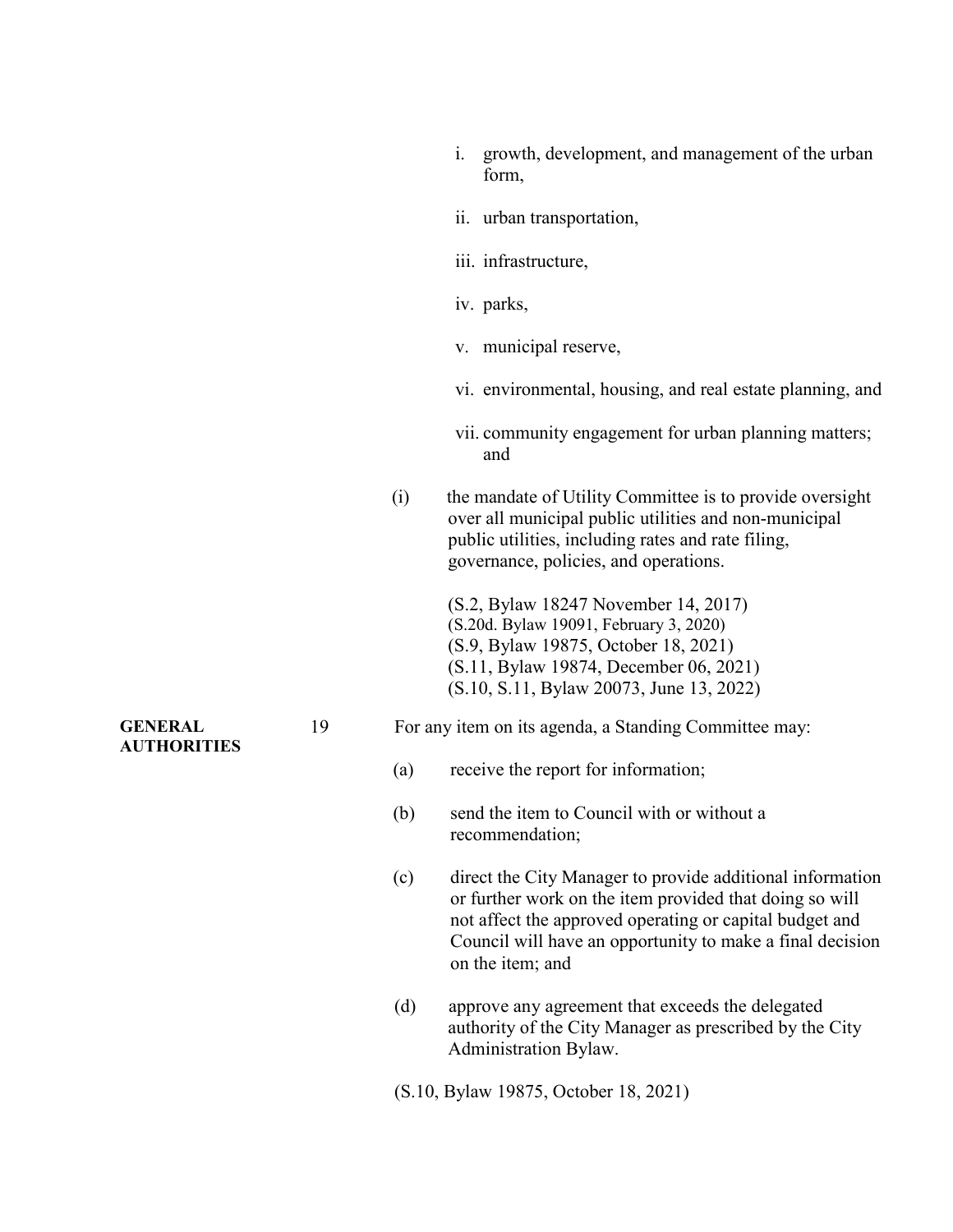|                                      |    |     | i. | growth, development, and management of the urban<br>form,                                                                                                                                                                                                        |
|--------------------------------------|----|-----|----|------------------------------------------------------------------------------------------------------------------------------------------------------------------------------------------------------------------------------------------------------------------|
|                                      |    |     |    | ii. urban transportation,                                                                                                                                                                                                                                        |
|                                      |    |     |    | iii. infrastructure,                                                                                                                                                                                                                                             |
|                                      |    |     |    | iv. parks,                                                                                                                                                                                                                                                       |
|                                      |    |     |    | v. municipal reserve,                                                                                                                                                                                                                                            |
|                                      |    |     |    | vi. environmental, housing, and real estate planning, and                                                                                                                                                                                                        |
|                                      |    |     |    | vii. community engagement for urban planning matters;<br>and                                                                                                                                                                                                     |
|                                      |    | (i) |    | the mandate of Utility Committee is to provide oversight<br>over all municipal public utilities and non-municipal<br>public utilities, including rates and rate filing,<br>governance, policies, and operations.                                                 |
|                                      |    |     |    | (S.2, Bylaw 18247 November 14, 2017)<br>(S.20d. Bylaw 19091, February 3, 2020)<br>(S.9, Bylaw 19875, October 18, 2021)<br>(S.11, Bylaw 19874, December 06, 2021)<br>(S.10, S.11, Bylaw 20073, June 13, 2022)                                                     |
| <b>GENERAL</b><br><b>AUTHORITIES</b> | 19 |     |    | For any item on its agenda, a Standing Committee may:                                                                                                                                                                                                            |
|                                      |    | (a) |    | receive the report for information;                                                                                                                                                                                                                              |
|                                      |    | (b) |    | send the item to Council with or without a<br>recommendation;                                                                                                                                                                                                    |
|                                      |    | (c) |    | direct the City Manager to provide additional information<br>or further work on the item provided that doing so will<br>not affect the approved operating or capital budget and<br>Council will have an opportunity to make a final decision<br>on the item; and |
|                                      |    | (d) |    | approve any agreement that exceeds the delegated<br>authority of the City Manager as prescribed by the City<br>Administration Bylaw.                                                                                                                             |
|                                      |    |     |    | (S.10, Bylaw 19875, October 18, 2021)                                                                                                                                                                                                                            |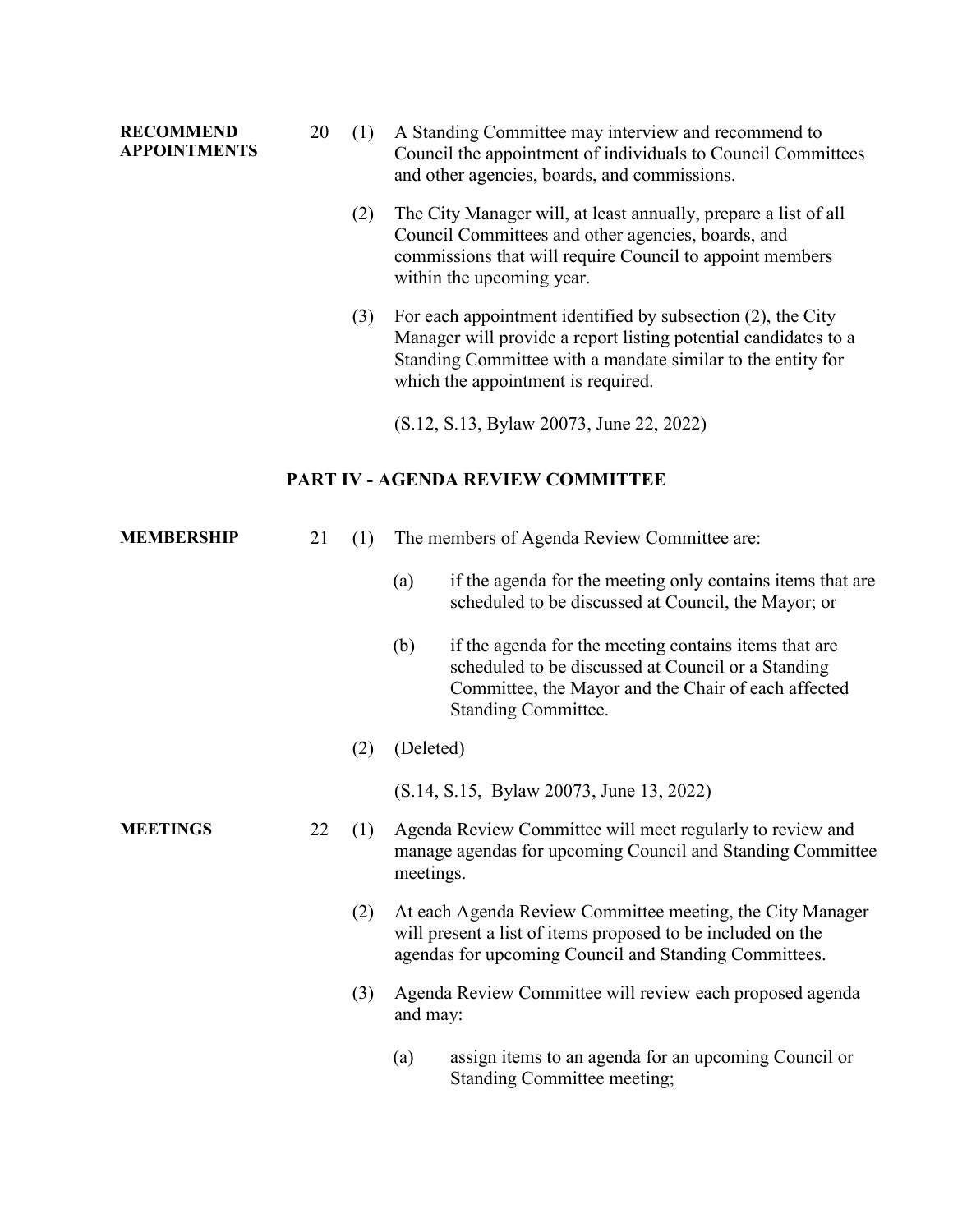### **RECOMMEND APPOINTMENTS** 20 (1) A Standing Committee may interview and recommend to Council the appointment of individuals to Council Committees and other agencies, boards, and commissions. (2) The City Manager will, at least annually, prepare a list of all Council Committees and other agencies, boards, and commissions that will require Council to appoint members within the upcoming year. (3) For each appointment identified by subsection (2), the City Manager will provide a report listing potential candidates to a Standing Committee with a mandate similar to the entity for which the appointment is required. (S.12, S.13, Bylaw 20073, June 22, 2022) **PART IV - AGENDA REVIEW COMMITTEE MEMBERSHIP** 21 (1) The members of Agenda Review Committee are: (a) if the agenda for the meeting only contains items that are scheduled to be discussed at Council, the Mayor; or (b) if the agenda for the meeting contains items that are scheduled to be discussed at Council or a Standing Committee, the Mayor and the Chair of each affected Standing Committee. (2) (Deleted) (S.14, S.15, Bylaw 20073, June 13, 2022) **MEETINGS** 22 (1) Agenda Review Committee will meet regularly to review and manage agendas for upcoming Council and Standing Committee meetings. (2) At each Agenda Review Committee meeting, the City Manager will present a list of items proposed to be included on the agendas for upcoming Council and Standing Committees. (3) Agenda Review Committee will review each proposed agenda and may: (a) assign items to an agenda for an upcoming Council or Standing Committee meeting;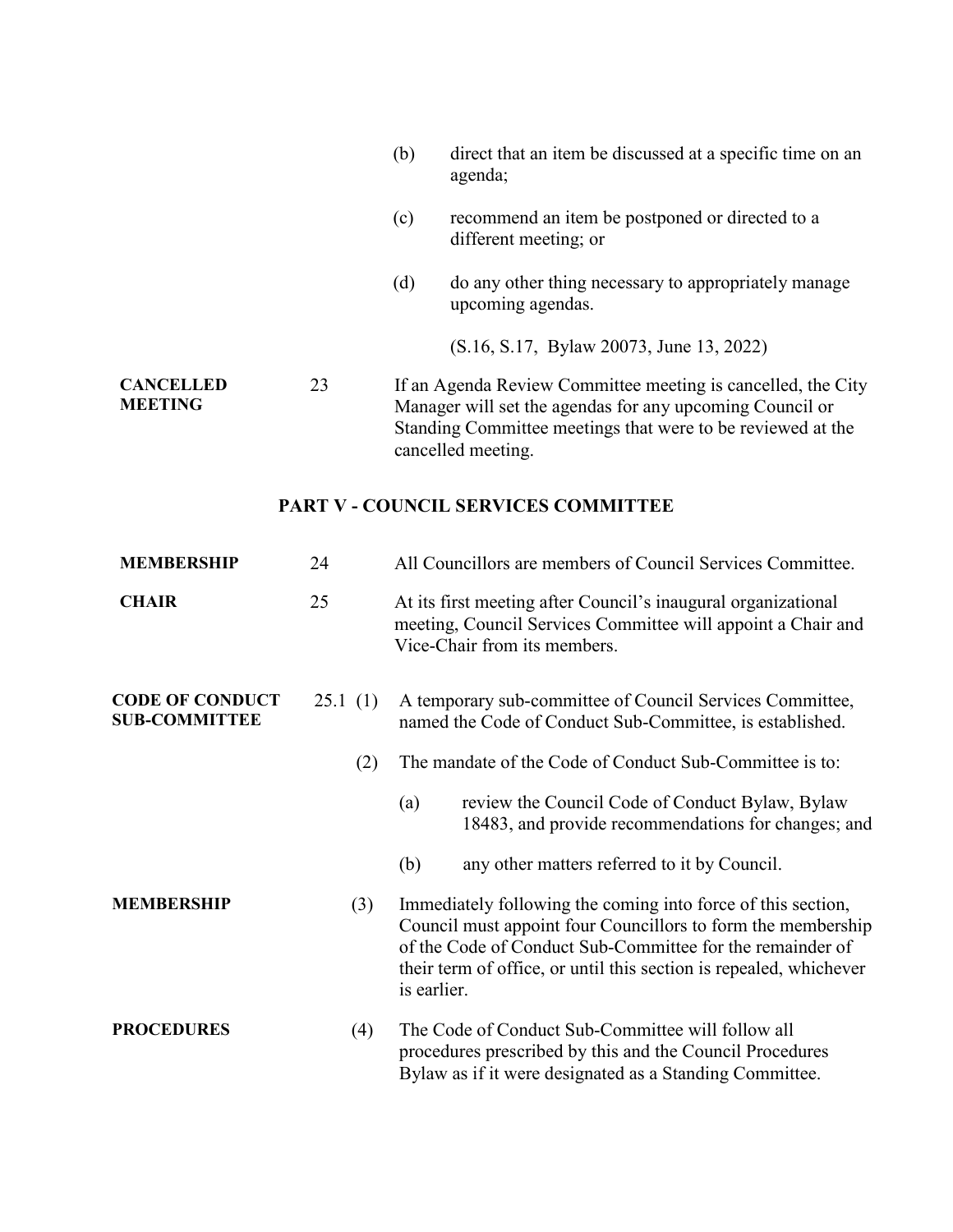|                                    |    | (b) | direct that an item be discussed at a specific time on an<br>agenda;                                                                                                                                          |
|------------------------------------|----|-----|---------------------------------------------------------------------------------------------------------------------------------------------------------------------------------------------------------------|
|                                    |    | (c) | recommend an item be postponed or directed to a<br>different meeting; or                                                                                                                                      |
|                                    |    | (d) | do any other thing necessary to appropriately manage<br>upcoming agendas.                                                                                                                                     |
|                                    |    |     | (S.16, S.17, Bylaw 20073, June 13, 2022)                                                                                                                                                                      |
| <b>CANCELLED</b><br><b>MEETING</b> | 23 |     | If an Agenda Review Committee meeting is cancelled, the City<br>Manager will set the agendas for any upcoming Council or<br>Standing Committee meetings that were to be reviewed at the<br>cancelled meeting. |
|                                    |    |     | <b>PART V - COUNCIL SERVICES COMMITTEE</b>                                                                                                                                                                    |
| <b>MEMBERSHIP</b>                  | 24 |     | All Councillors are members of Council Services Committee.                                                                                                                                                    |

| <b>CHAIR</b>                                   | 25      | At its first meeting after Council's inaugural organizational<br>meeting, Council Services Committee will appoint a Chair and<br>Vice-Chair from its members.                                                                                                                  |
|------------------------------------------------|---------|--------------------------------------------------------------------------------------------------------------------------------------------------------------------------------------------------------------------------------------------------------------------------------|
| <b>CODE OF CONDUCT</b><br><b>SUB-COMMITTEE</b> | 25.1(1) | A temporary sub-committee of Council Services Committee,<br>named the Code of Conduct Sub-Committee, is established.                                                                                                                                                           |
|                                                | (2)     | The mandate of the Code of Conduct Sub-Committee is to:                                                                                                                                                                                                                        |
|                                                |         | review the Council Code of Conduct Bylaw, Bylaw<br>(a)<br>18483, and provide recommendations for changes; and                                                                                                                                                                  |
|                                                |         | (b)<br>any other matters referred to it by Council.                                                                                                                                                                                                                            |
| <b>MEMBERSHIP</b>                              | (3)     | Immediately following the coming into force of this section,<br>Council must appoint four Councillors to form the membership<br>of the Code of Conduct Sub-Committee for the remainder of<br>their term of office, or until this section is repealed, whichever<br>is earlier. |
| <b>PROCEDURES</b>                              | (4)     | The Code of Conduct Sub-Committee will follow all<br>procedures prescribed by this and the Council Procedures<br>Bylaw as if it were designated as a Standing Committee.                                                                                                       |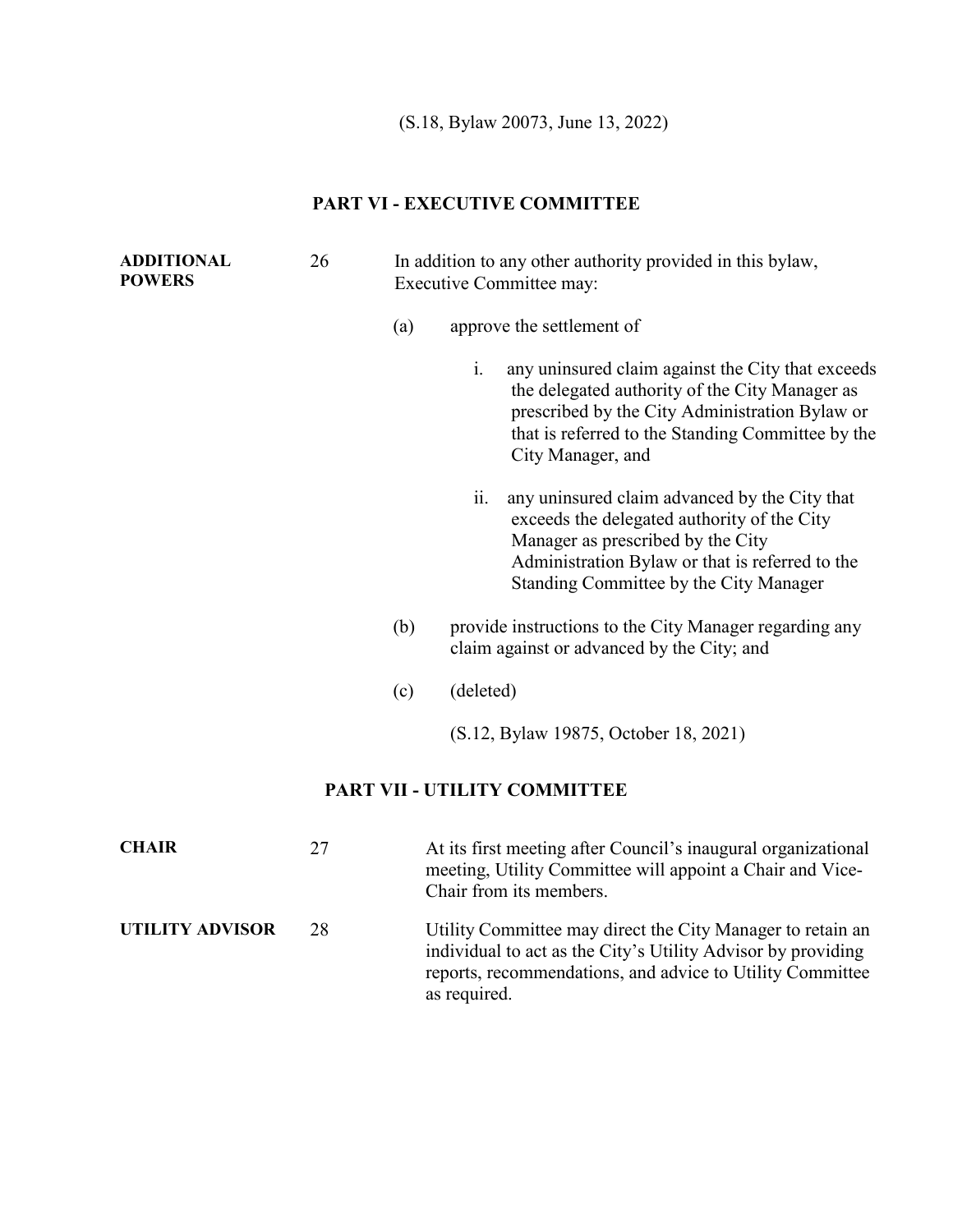(S.18, Bylaw 20073, June 13, 2022)

#### **PART VI - EXECUTIVE COMMITTEE**

| <b>ADDITIONAL</b><br><b>POWERS</b> | 26 |     | In addition to any other authority provided in this bylaw,<br><b>Executive Committee may:</b>                                                                                                                                         |
|------------------------------------|----|-----|---------------------------------------------------------------------------------------------------------------------------------------------------------------------------------------------------------------------------------------|
|                                    |    | (a) | approve the settlement of                                                                                                                                                                                                             |
|                                    |    |     | i.<br>any uninsured claim against the City that exceeds<br>the delegated authority of the City Manager as<br>prescribed by the City Administration Bylaw or<br>that is referred to the Standing Committee by the<br>City Manager, and |
|                                    |    |     | ii.<br>any uninsured claim advanced by the City that<br>exceeds the delegated authority of the City<br>Manager as prescribed by the City<br>Administration Bylaw or that is referred to the<br>Standing Committee by the City Manager |
|                                    |    | (b) | provide instructions to the City Manager regarding any<br>claim against or advanced by the City; and                                                                                                                                  |
|                                    |    | (c) | (deleted)                                                                                                                                                                                                                             |
|                                    |    |     | (S.12, Bylaw 19875, October 18, 2021)                                                                                                                                                                                                 |
|                                    |    |     | PART VII - UTILITY COMMITTEE                                                                                                                                                                                                          |
| <b>CHAIR</b>                       | 27 |     | At its first meeting after Council's inaugural organizational<br>meeting, Utility Committee will appoint a Chair and Vice-<br>Chair from its members.                                                                                 |
|                                    |    |     |                                                                                                                                                                                                                                       |

**UTILITY ADVISOR** 28 Utility Committee may direct the City Manager to retain an individual to act as the City's Utility Advisor by providing reports, recommendations, and advice to Utility Committee as required.